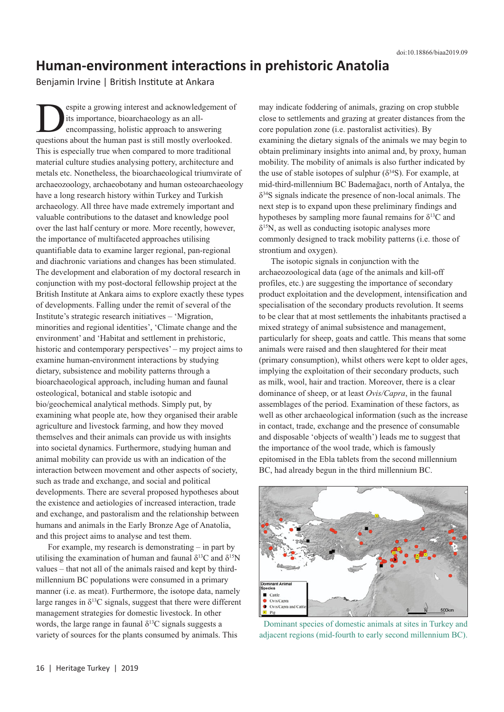## **Human-environment interactions in prehistoric Anatolia**

Benjamin Irvine | British Institute at Ankara

espite a growing interest and acknowledgement of its importance, bioarchaeology as an allencompassing, holistic approach to answering questions about the human past is still mostly overlooked. This is especially true when compared to more traditional material culture studies analysing pottery, architecture and metals etc. Nonetheless, the bioarchaeological triumvirate of archaeozoology, archaeobotany and human osteoarchaeology have a long research history within Turkey and Turkish archaeology. All three have made extremely important and valuable contributions to the dataset and knowledge pool over the last half century or more. More recently, however, the importance of multifaceted approaches utilising quantifiable data to examine larger regional, pan-regional and diachronic variations and changes has been stimulated. The development and elaboration of my doctoral research in conjunction with my post-doctoral fellowship project at the British Institute at Ankara aims to explore exactly these types of developments. Falling under the remit of several of the Institute's strategic research initiatives – 'Migration, minorities and regional identities', 'Climate change and the environment' and 'Habitat and settlement in prehistoric, historic and contemporary perspectives' – my project aims to examine human-environment interactions by studying dietary, subsistence and mobility patterns through a bioarchaeological approach, including human and faunal osteological, botanical and stable isotopic and bio/geochemical analytical methods. Simply put, by examining what people ate, how they organised their arable agriculture and livestock farming, and how they moved themselves and their animals can provide us with insights into societal dynamics. Furthermore, studying human and animal mobility can provide us with an indication of the interaction between movement and other aspects of society, such as trade and exchange, and social and political developments. There are several proposed hypotheses about the existence and aetiologies of increased interaction, trade and exchange, and pastoralism and the relationship between humans and animals in the Early Bronze Age of Anatolia, and this project aims to analyse and test them.

For example, my research is demonstrating – in part by utilising the examination of human and faunal  $\delta^{13}C$  and  $\delta^{15}N$ values – that not all of the animals raised and kept by thirdmillennium BC populations were consumed in a primary manner (i.e. as meat). Furthermore, the isotope data, namely large ranges in  $\delta^{13}$ C signals, suggest that there were different management strategies for domestic livestock. In other words, the large range in faunal  $\delta^{13}$ C signals suggests a variety of sources for the plants consumed by animals. This

may indicate foddering of animals, grazing on crop stubble close to settlements and grazing at greater distances from the core population zone (i.e. pastoralist activities). By examining the dietary signals of the animals we may begin to obtain preliminary insights into animal and, by proxy, human mobility. The mobility of animals is also further indicated by the use of stable isotopes of sulphur ( $\delta^{34}$ S). For example, at mid-third-millennium BC Bademağacı, north of Antalya, the δ34S signals indicate the presence of non-local animals. The next step is to expand upon these preliminary findings and hypotheses by sampling more faunal remains for  $\delta^{13}C$  and  $\delta^{15}$ N, as well as conducting isotopic analyses more commonly designed to track mobility patterns (i.e. those of strontium and oxygen).

The isotopic signals in conjunction with the archaeozoological data (age of the animals and kill-off profiles, etc.) are suggesting the importance of secondary product exploitation and the development, intensification and specialisation of the secondary products revolution. It seems to be clear that at most settlements the inhabitants practised a mixed strategy of animal subsistence and management, particularly for sheep, goats and cattle. This means that some animals were raised and then slaughtered for their meat (primary consumption), whilst others were kept to older ages, implying the exploitation of their secondary products, such as milk, wool, hair and traction. Moreover, there is a clear dominance of sheep, or at least *Ovis/Capra*, in the faunal assemblages of the period. Examination of these factors, as well as other archaeological information (such as the increase in contact, trade, exchange and the presence of consumable and disposable 'objects of wealth') leads me to suggest that the importance of the wool trade, which is famously epitomised in the Ebla tablets from the second millennium BC, had already begun in the third millennium BC.



Dominant species of domestic animals at sites in Turkey and adjacent regions (mid-fourth to early second millennium BC).